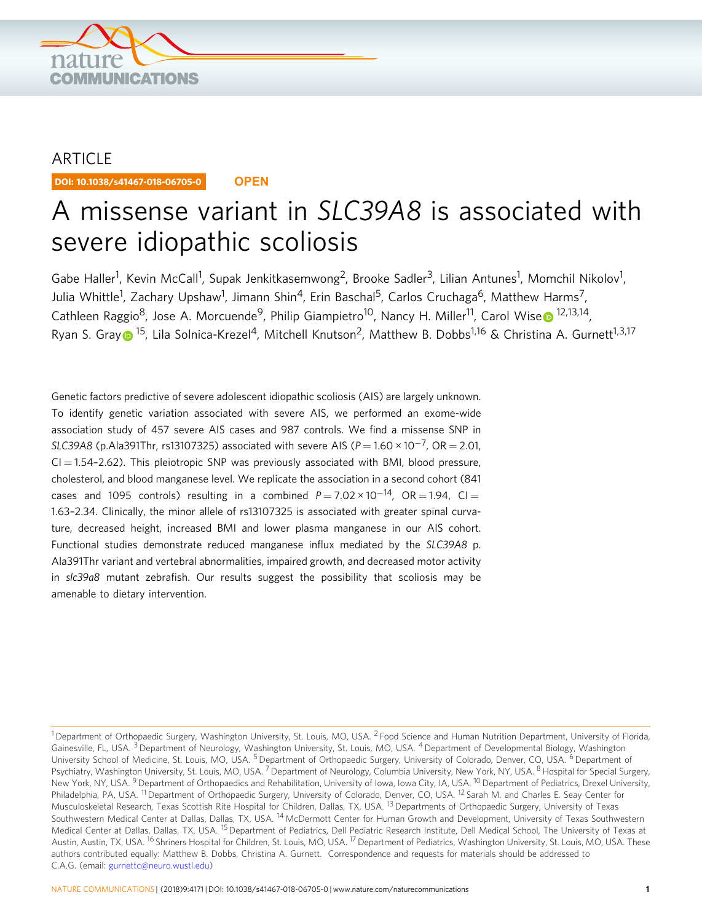

## ARTICLE

DOI: 10.1038/s41467-018-06705-0 **OPEN**

# A missense variant in SLC39A8 is associated with severe idiopathic scoliosis

Gabe Haller<sup>1</sup>, Kevin McCall<sup>1</sup>, Supak Jenkitkasemwong<sup>2</sup>, Brooke Sadler<sup>3</sup>, Lilian Antunes<sup>1</sup>, Momchil Nikolov<sup>1</sup>, Julia Whittle<sup>1</sup>, Zachary Upshaw<sup>1</sup>, Jimann Shin<sup>4</sup>, Erin Baschal<sup>5</sup>, Carlos Cruchaga<sup>6</sup>, Matthew Harms<sup>7</sup>, Cathl[e](http://orcid.org/0000-0002-6790-2194)en Raggio<sup>8</sup>, Jose A. Morcuende<sup>9</sup>, Philip Giampietro<sup>10</sup>, Nancy H. Miller<sup>11</sup>, Carol Wise <sup>12,13,14</sup>, R[y](http://orcid.org/0000-0001-9668-6497)an S. Gray  $\bigcirc$  <sup>15</sup>, Lila Solnica-Krezel<sup>4</sup>, Mitchell Knutson<sup>2</sup>, Matthew B. Dobbs<sup>1,16</sup> & Christina A. Gurnett<sup>1,3,17</sup>

Genetic factors predictive of severe adolescent idiopathic scoliosis (AIS) are largely unknown. To identify genetic variation associated with severe AIS, we performed an exome-wide association study of 457 severe AIS cases and 987 controls. We find a missense SNP in SLC39A8 (p.Ala391Thr, rs13107325) associated with severe AIS ( $P = 1.60 \times 10^{-7}$ , OR = 2.01,  $CI = 1.54 - 2.62$ . This pleiotropic SNP was previously associated with BMI, blood pressure, cholesterol, and blood manganese level. We replicate the association in a second cohort (841 cases and 1095 controls) resulting in a combined  $P = 7.02 \times 10^{-14}$ , OR = 1.94, CI = 1.63–2.34. Clinically, the minor allele of rs13107325 is associated with greater spinal curvature, decreased height, increased BMI and lower plasma manganese in our AIS cohort. Functional studies demonstrate reduced manganese influx mediated by the SLC39A8 p. Ala391Thr variant and vertebral abnormalities, impaired growth, and decreased motor activity in slc39a8 mutant zebrafish. Our results suggest the possibility that scoliosis may be amenable to dietary intervention.

<sup>&</sup>lt;sup>1</sup> Department of Orthopaedic Surgery, Washington University, St. Louis, MO, USA. <sup>2</sup> Food Science and Human Nutrition Department, University of Florida, Gainesville, FL, USA.<sup>3</sup> Department of Neurology, Washington University, St. Louis, MO, USA. <sup>4</sup> Department of Developmental Biology, Washington University School of Medicine, St. Louis, MO, USA.<sup>5</sup> Department of Orthopaedic Surgery, University of Colorado, Denver, CO, USA. <sup>6</sup> Department of Psychiatry, Washington University, St. Louis, MO, USA. <sup>7</sup> Department of Neurology, Columbia University, New York, NY, USA. <sup>8</sup> Hospital for Special Surgery, New York, NY, USA. <sup>9</sup> Department of Orthopaedics and Rehabilitation, University of Iowa, Iowa City, IA, USA. <sup>10</sup> Department of Pediatrics, Drexel University, Philadelphia, PA, USA. <sup>11</sup> Department of Orthopaedic Surgery, University of Colorado, Denver, CO, USA. <sup>12</sup> Sarah M. and Charles E. Seay Center for Musculoskeletal Research, Texas Scottish Rite Hospital for Children, Dallas, TX, USA. <sup>13</sup> Departments of Orthopaedic Surgery, University of Texas Southwestern Medical Center at Dallas, Dallas, TX, USA. <sup>14</sup> McDermott Center for Human Growth and Development, University of Texas Southwestern Medical Center at Dallas, Dallas, TX, USA, <sup>15</sup> Department of Pediatrics, Dell Pediatric Research Institute, Dell Medical School, The University of Texas at Austin, Austin, TX, USA. <sup>16</sup> Shriners Hospital for Children, St. Louis, MO, USA. <sup>17</sup> Department of Pediatrics, Washington University, St. Louis, MO, USA. These authors contributed equally: Matthew B. Dobbs, Christina A. Gurnett. Correspondence and requests for materials should be addressed to C.A.G. (email: [gurnettc@neuro.wustl.edu\)](mailto:gurnettc@neuro.wustl.edu)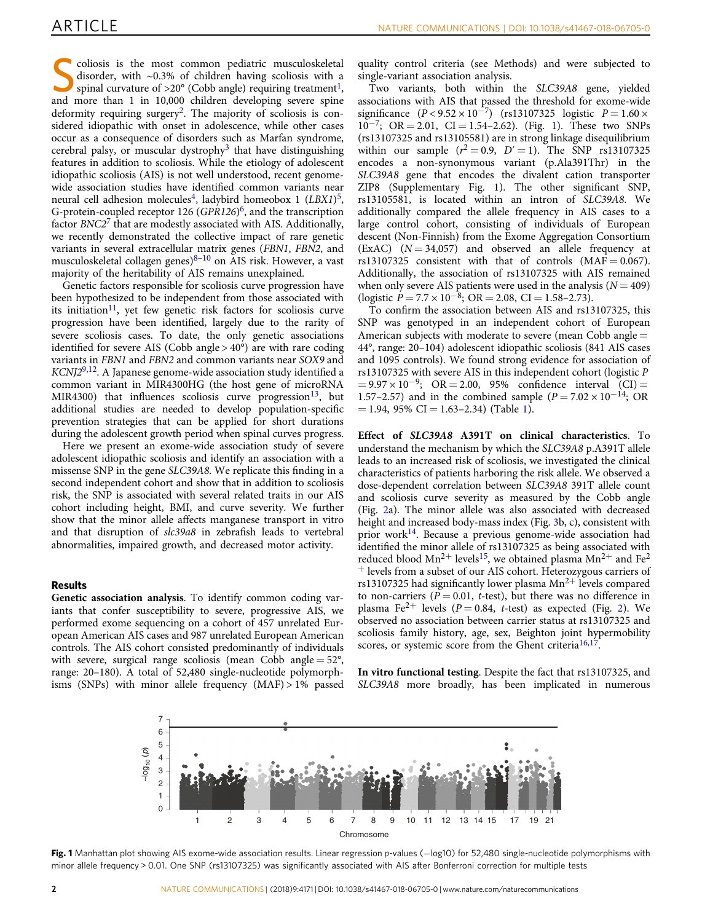Scoliosis is the most common pediatric musculoskeletal<br>disorder, with ~0.3% of children having scoliosis with a<br>spinal curvature of >20° (Cobb angle) requiring treatment<sup>1</sup>,<br>and more than [1,](#page-5-0) in 0.000 children developing e disorder, with ~0.3% of children having scoliosis with a and more than 1 in 10,000 children developing severe spine deformity requiring surgery<sup>2</sup>. The majority of scoliosis is considered idiopathic with onset in adolescence, while other cases occur as a consequence of disorders such as Marfan syndrome, cerebral palsy, or muscular dystrophy<sup>[3](#page-5-0)</sup> that have distinguishing features in addition to scoliosis. While the etiology of adolescent idiopathic scoliosis (AIS) is not well understood, recent genomewide association studies have identified common variants near neural cell adhesion molecules<sup>4</sup>, ladybird homeobox 1  $(LBXI)^5$ , G-protein-coupled receptor 12[6](#page-5-0) ( $GPR126$ <sup>6</sup>, and the transcription factor BNC2<sup>[7](#page-5-0)</sup> that are modestly associated with AIS. Additionally, we recently demonstrated the collective impact of rare genetic variants in several extracellular matrix genes (FBN1, FBN2, and musculoskeletal collagen genes) $8-10$  $8-10$  $8-10$  on AIS risk. However, a vast majority of the heritability of AIS remains unexplained.

Genetic factors responsible for scoliosis curve progression have been hypothesized to be independent from those associated with its initiation<sup>[11](#page-5-0)</sup>, yet few genetic risk factors for scoliosis curve progression have been identified, largely due to the rarity of severe scoliosis cases. To date, the only genetic associations identified for severe AIS (Cobb angle  $> 40^\circ$ ) are with rare coding variants in FBN1 and FBN2 and common variants near SOX9 and  $KCNJ2<sup>9,12</sup>$  $KCNJ2<sup>9,12</sup>$  $KCNJ2<sup>9,12</sup>$  $KCNJ2<sup>9,12</sup>$  $KCNJ2<sup>9,12</sup>$ . A Japanese genome-wide association study identified a common variant in MIR4300HG (the host gene of microRNA MIR4300) that influences scoliosis curve progression<sup>13</sup>, but additional studies are needed to develop population-specific prevention strategies that can be applied for short durations during the adolescent growth period when spinal curves progress.

Here we present an exome-wide association study of severe adolescent idiopathic scoliosis and identify an association with a missense SNP in the gene SLC39A8. We replicate this finding in a second independent cohort and show that in addition to scoliosis risk, the SNP is associated with several related traits in our AIS cohort including height, BMI, and curve severity. We further show that the minor allele affects manganese transport in vitro and that disruption of slc39a8 in zebrafish leads to vertebral abnormalities, impaired growth, and decreased motor activity.

### Results

Genetic association analysis. To identify common coding variants that confer susceptibility to severe, progressive AIS, we performed exome sequencing on a cohort of 457 unrelated European American AIS cases and 987 unrelated European American controls. The AIS cohort consisted predominantly of individuals with severe, surgical range scoliosis (mean Cobb angle  $= 52^{\circ}$ , range: 20–180). A total of 52,480 single-nucleotide polymorphisms (SNPs) with minor allele frequency (MAF) > 1% passed

quality control criteria (see Methods) and were subjected to single-variant association analysis.

Two variants, both within the SLC39A8 gene, yielded associations with AIS that passed the threshold for exome-wide significance  $(P < 9.52 \times 10^{-7})$  (rs13107325 logistic  $P = 1.60 \times$  $10^{-7}$ ; OR = 2.01, CI = 1.54–2.62). (Fig. 1). These two SNPs (rs13107325 and rs13105581) are in strong linkage disequilibrium within our sample  $(r^2 = 0.9, D' = 1)$ . The SNP rs13107325 encodes a non-synonymous variant (p.Ala391Thr) in the SLC39A8 gene that encodes the divalent cation transporter ZIP8 (Supplementary Fig. 1). The other significant SNP, rs13105581, is located within an intron of SLC39A8. We additionally compared the allele frequency in AIS cases to a large control cohort, consisting of individuals of European descent (Non-Finnish) from the Exome Aggregation Consortium (ExAC)  $(N = 34,057)$  and observed an allele frequency at rs13107325 consistent with that of controls  $(MAF = 0.067)$ . Additionally, the association of rs13107325 with AIS remained when only severe AIS patients were used in the analysis  $(N = 409)$ (logistic  $P = 7.7 \times 10^{-8}$ ; OR = 2.08, CI = 1.58–2.73).

To confirm the association between AIS and rs13107325, this SNP was genotyped in an independent cohort of European American subjects with moderate to severe (mean Cobb angle = 44°, range: 20–104) adolescent idiopathic scoliosis (841 AIS cases and 1095 controls). We found strong evidence for association of rs13107325 with severe AIS in this independent cohort (logistic P  $= 9.97 \times 10^{-9}$ ; OR = 2.00, 95% confidence interval (CI) = 1.57–2.57) and in the combined sample ( $P = 7.02 \times 10^{-14}$ ; OR  $= 1.94$ , 95% CI  $= 1.63 - 2.34$ ) (Table [1\)](#page-2-0).

Effect of SLC39A8 A391T on clinical characteristics. To understand the mechanism by which the SLC39A8 p.A391T allele leads to an increased risk of scoliosis, we investigated the clinical characteristics of patients harboring the risk allele. We observed a dose-dependent correlation between SLC39A8 391T allele count and scoliosis curve severity as measured by the Cobb angle (Fig. [2a](#page-2-0)). The minor allele was also associated with decreased height and increased body-mass index (Fig. [3](#page-2-0)b, c), consistent with prior work<sup>[14](#page-5-0)</sup>. Because a previous genome-wide association had identified the minor allele of rs13107325 as being associated with reduced blood  $Mn^{2+}$  levels<sup>15</sup>, we obtained plasma  $Mn^{2+}$  and Fe<sup>2</sup> <sup>+</sup> levels from a subset of our AIS cohort. Heterozygous carriers of rs13107325 had significantly lower plasma  $Mn^{2+}$  levels compared to non-carriers ( $\dot{P} = 0.01$ , t-test), but there was no difference in plasma Fe<sup>2+</sup> levels ( $P = 0.84$ , t-test) as expected (Fig. [2\)](#page-2-0). We observed no association between carrier status at rs13107325 and scoliosis family history, age, sex, Beighton joint hypermobility scores, or systemic score from the Ghent criteria<sup>16,17</sup>.

In vitro functional testing. Despite the fact that rs13107325, and SLC39A8 more broadly, has been implicated in numerous



Fig. 1 Manhattan plot showing AIS exome-wide association results. Linear regression p-values (-log10) for 52,480 single-nucleotide polymorphisms with minor allele frequency > 0.01. One SNP (rs13107325) was significantly associated with AIS after Bonferroni correction for multiple tests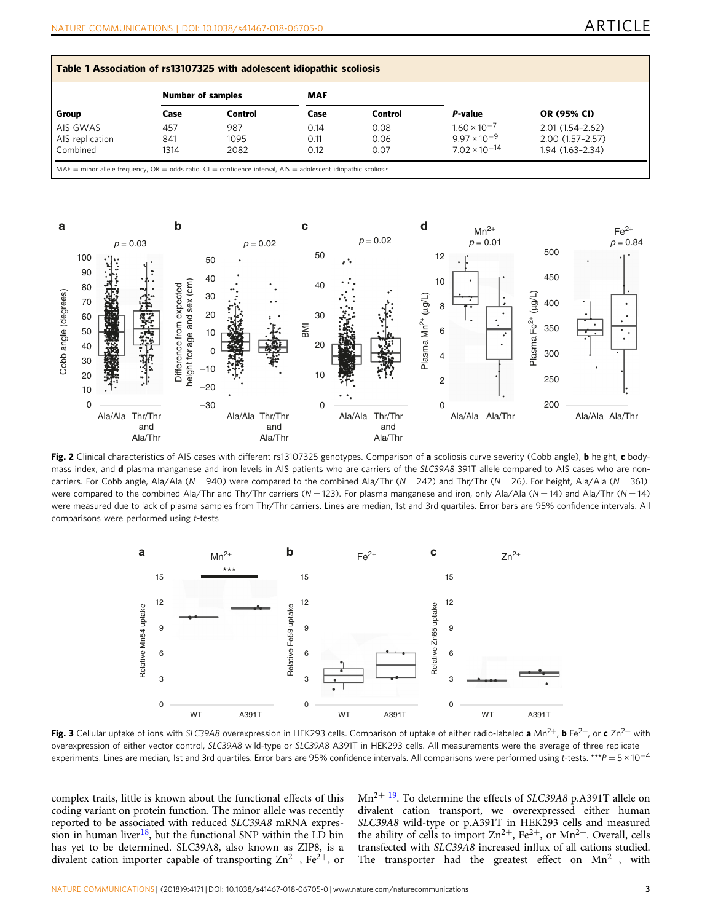<span id="page-2-0"></span>

| Group           | <b>Number of samples</b> |         | <b>MAF</b> |         |                        |                     |
|-----------------|--------------------------|---------|------------|---------|------------------------|---------------------|
|                 | Case                     | Control | Case       | Control | P-value                | <b>OR (95% CI)</b>  |
| AIS GWAS        | 457                      | 987     | 0.14       | 0.08    | $1.60 \times 10^{-7}$  | $2.01(1.54 - 2.62)$ |
| AIS replication | 841                      | 1095    | 0.11       | 0.06    | $9.97 \times 10^{-9}$  | 2.00 (1.57-2.57)    |
| Combined        | 1314                     | 2082    | 0.12       | 0.07    | $7.02 \times 10^{-14}$ | $1.94(1.63 - 2.34)$ |



Fig. 2 Clinical characteristics of AIS cases with different rs13107325 genotypes. Comparison of a scoliosis curve severity (Cobb angle), b height, c bodymass index, and **d** plasma manganese and iron levels in AIS patients who are carriers of the SLC39A8 391T allele compared to AIS cases who are noncarriers. For Cobb angle, Ala/Ala ( $N = 940$ ) were compared to the combined Ala/Thr ( $N = 242$ ) and Thr/Thr ( $N = 26$ ). For height, Ala/Ala ( $N = 361$ ) were compared to the combined Ala/Thr and Thr/Thr carriers ( $N = 123$ ). For plasma manganese and iron, only Ala/Ala ( $N = 14$ ) and Ala/Thr ( $N = 14$ ) were measured due to lack of plasma samples from Thr/Thr carriers. Lines are median, 1st and 3rd quartiles. Error bars are 95% confidence intervals. All comparisons were performed using t-tests



Fig. 3 Cellular uptake of ions with SLC39A8 overexpression in HEK293 cells. Comparison of uptake of either radio-labeled a Mn<sup>2+</sup>, b Fe<sup>2+</sup>, or c Zn<sup>2+</sup> with overexpression of either vector control, SLC39A8 wild-type or SLC39A8 A391T in HEK293 cells. All measurements were the average of three replicate experiments. Lines are median, 1st and 3rd quartiles. Error bars are 95% confidence intervals. All comparisons were performed using t-tests. \*\*\*P = 5 × 10<sup>-4</sup>

complex traits, little is known about the functional effects of this coding variant on protein function. The minor allele was recently reported to be associated with reduced SLC39A8 mRNA expres-sion in human liver<sup>[18](#page-5-0)</sup>, but the functional SNP within the LD bin has yet to be determined. SLC39A8, also known as ZIP8, is a divalent cation importer capable of transporting  $\text{Zn}^{2+}$ , Fe<sup>2+</sup>, or

 $Mn^{2+19}$ . To determine the effects of SLC39A8 p.A391T allele on divalent cation transport, we overexpressed either human SLC39A8 wild-type or p.A391T in HEK293 cells and measured the ability of cells to import  $\text{Zn}^{2+}$ ,  $\text{Fe}^{2+}$ , or  $\text{Mn}^{2+}$ . Overall, cells transfected with SLC39A8 increased influx of all cations studied. The transporter had the greatest effect on  $Mn^{2+}$ , with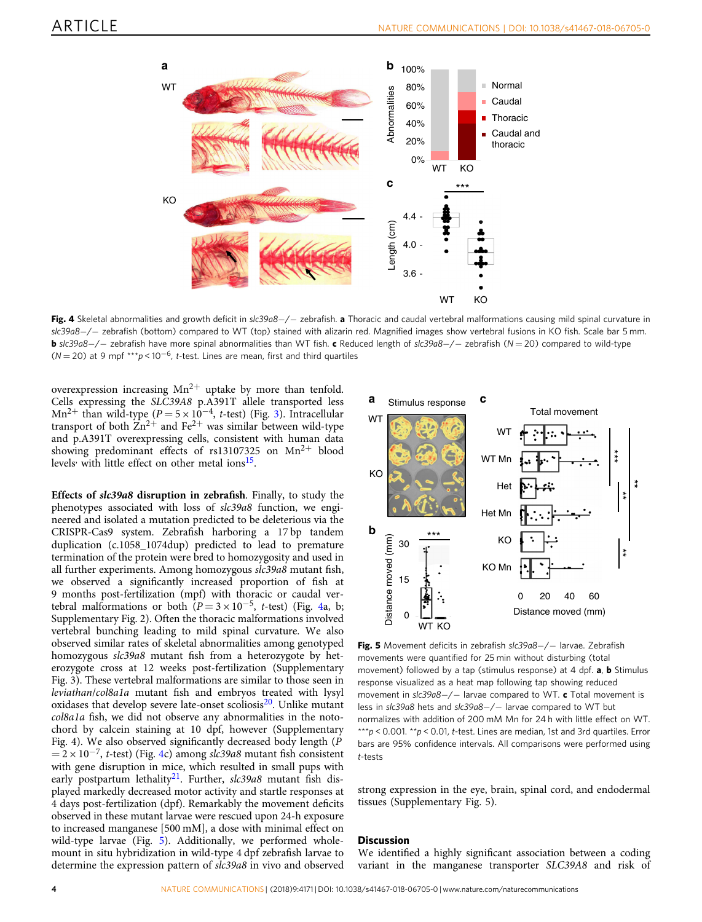

Fig. 4 Skeletal abnormalities and growth deficit in slc39a8-/- zebrafish. a Thoracic and caudal vertebral malformations causing mild spinal curvature in slc39a8-/- zebrafish (bottom) compared to WT (top) stained with alizarin red. Magnified images show vertebral fusions in KO fish. Scale bar 5 mm. **b** slc39a8−/− zebrafish have more spinal abnormalities than WT fish. c Reduced length of slc39a8−/− zebrafish (N = 20) compared to wild-type ( $N = 20$ ) at 9 mpf \*\*\*p < 10<sup>-6</sup>, t-test. Lines are mean, first and third quartiles

overexpression increasing  $Mn^{2+}$  uptake by more than tenfold. Cells expressing the SLC39A8 p.A391T allele transported less Mn<sup>2+</sup> than wild-type ( $P = 5 \times 10^{-4}$ , t-test) (Fig. [3\)](#page-2-0). Intracellular transport of both  $Zn^{2+}$  and Fe<sup>2+</sup> was similar between wild-type and p.A391T overexpressing cells, consistent with human data showing predominant effects of rs13107325 on  $Mn^{2+}$  blood levels<sup>,</sup> with little effect on other metal ions<sup>[15](#page-5-0)</sup>.

Effects of slc39a8 disruption in zebrafish. Finally, to study the phenotypes associated with loss of slc39a8 function, we engineered and isolated a mutation predicted to be deleterious via the CRISPR-Cas9 system. Zebrafish harboring a 17 bp tandem duplication (c.1058\_1074dup) predicted to lead to premature termination of the protein were bred to homozygosity and used in all further experiments. Among homozygous slc39a8 mutant fish, we observed a significantly increased proportion of fish at 9 months post-fertilization (mpf) with thoracic or caudal vertebral malformations or both ( $P = 3 \times 10^{-5}$ , t-test) (Fig. 4a, b; Supplementary Fig. 2). Often the thoracic malformations involved vertebral bunching leading to mild spinal curvature. We also observed similar rates of skeletal abnormalities among genotyped homozygous slc39a8 mutant fish from a heterozygote by heterozygote cross at 12 weeks post-fertilization (Supplementary Fig. 3). These vertebral malformations are similar to those seen in leviathan/col8a1a mutant fish and embryos treated with lysyl oxidases that develop severe late-onset scoliosis $^{20}$  $^{20}$  $^{20}$ . Unlike mutant col8a1a fish, we did not observe any abnormalities in the notochord by calcein staining at 10 dpf, however (Supplementary Fig. 4). We also observed significantly decreased body length (P  $= 2 \times 10^{-7}$ , t-test) (Fig. 4c) among slc39a8 mutant fish consistent with gene disruption in mice, which resulted in small pups with early postpartum lethality<sup>21</sup>. Further, slc39a8 mutant fish displayed markedly decreased motor activity and startle responses at 4 days post-fertilization (dpf). Remarkably the movement deficits observed in these mutant larvae were rescued upon 24-h exposure to increased manganese [500 mM], a dose with minimal effect on wild-type larvae (Fig. 5). Additionally, we performed wholemount in situ hybridization in wild-type 4 dpf zebrafish larvae to determine the expression pattern of slc39a8 in vivo and observed



Fig. 5 Movement deficits in zebrafish slc39a8-/- larvae. Zebrafish movements were quantified for 25 min without disturbing (total movement) followed by a tap (stimulus response) at 4 dpf.  $a, b$  Stimulus response visualized as a heat map following tap showing reduced movement in slc39a8-/- larvae compared to WT. c Total movement is less in slc39a8 hets and slc39a8-/- larvae compared to WT but normalizes with addition of 200 mM Mn for 24 h with little effect on WT. \*\*\*p < 0.001. \*\*p < 0.01, t-test. Lines are median, 1st and 3rd quartiles. Error bars are 95% confidence intervals. All comparisons were performed using t-tests

strong expression in the eye, brain, spinal cord, and endodermal tissues (Supplementary Fig. 5).

#### **Discussion**

We identified a highly significant association between a coding variant in the manganese transporter SLC39A8 and risk of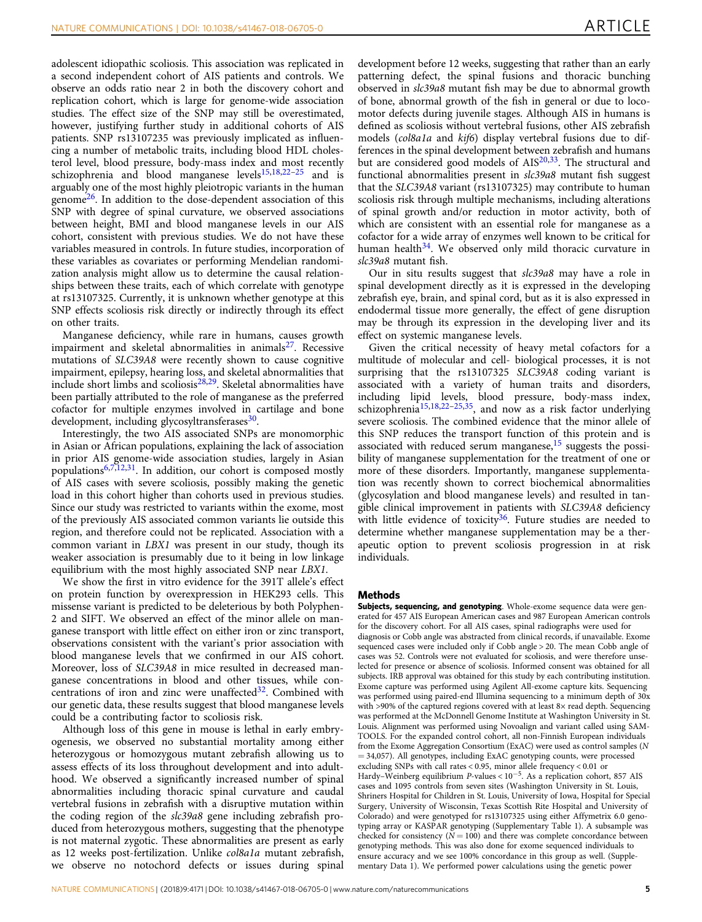adolescent idiopathic scoliosis. This association was replicated in a second independent cohort of AIS patients and controls. We observe an odds ratio near 2 in both the discovery cohort and replication cohort, which is large for genome-wide association studies. The effect size of the SNP may still be overestimated, however, justifying further study in additional cohorts of AIS patients. SNP rs13107235 was previously implicated as influencing a number of metabolic traits, including blood HDL cholesterol level, blood pressure, body-mass index and most recently schizophrenia and blood manganese levels<sup>[15,18](#page-5-0)[,22](#page-6-0)-[25](#page-6-0)</sup> and is arguably one of the most highly pleiotropic variants in the human genome[26.](#page-6-0) In addition to the dose-dependent association of this SNP with degree of spinal curvature, we observed associations between height, BMI and blood manganese levels in our AIS cohort, consistent with previous studies. We do not have these variables measured in controls. In future studies, incorporation of these variables as covariates or performing Mendelian randomization analysis might allow us to determine the causal relationships between these traits, each of which correlate with genotype at rs13107325. Currently, it is unknown whether genotype at this SNP effects scoliosis risk directly or indirectly through its effect on other traits.

Manganese deficiency, while rare in humans, causes growth impairment and skeletal abnormalities in animals $^{27}$ . Recessive mutations of SLC39A8 were recently shown to cause cognitive impairment, epilepsy, hearing loss, and skeletal abnormalities that include short limbs and scoliosis $28,29$ . Skeletal abnormalities have been partially attributed to the role of manganese as the preferred cofactor for multiple enzymes involved in cartilage and bone development, including glycosyltransferases<sup>30</sup>.

Interestingly, the two AIS associated SNPs are monomorphic in Asian or African populations, explaining the lack of association in prior AIS genome-wide association studies, largely in Asian populations $6,7,12,31$  $6,7,12,31$  $6,7,12,31$  $6,7,12,31$  $6,7,12,31$ . In addition, our cohort is composed mostly of AIS cases with severe scoliosis, possibly making the genetic load in this cohort higher than cohorts used in previous studies. Since our study was restricted to variants within the exome, most of the previously AIS associated common variants lie outside this region, and therefore could not be replicated. Association with a common variant in LBX1 was present in our study, though its weaker association is presumably due to it being in low linkage equilibrium with the most highly associated SNP near LBX1.

We show the first in vitro evidence for the 391T allele's effect on protein function by overexpression in HEK293 cells. This missense variant is predicted to be deleterious by both Polyphen-2 and SIFT. We observed an effect of the minor allele on manganese transport with little effect on either iron or zinc transport, observations consistent with the variant's prior association with blood manganese levels that we confirmed in our AIS cohort. Moreover, loss of SLC39A8 in mice resulted in decreased manganese concentrations in blood and other tissues, while con-centrations of iron and zinc were unaffected<sup>[32](#page-6-0)</sup>. Combined with our genetic data, these results suggest that blood manganese levels could be a contributing factor to scoliosis risk.

Although loss of this gene in mouse is lethal in early embryogenesis, we observed no substantial mortality among either heterozygous or homozygous mutant zebrafish allowing us to assess effects of its loss throughout development and into adulthood. We observed a significantly increased number of spinal abnormalities including thoracic spinal curvature and caudal vertebral fusions in zebrafish with a disruptive mutation within the coding region of the slc39a8 gene including zebrafish produced from heterozygous mothers, suggesting that the phenotype is not maternal zygotic. These abnormalities are present as early as 12 weeks post-fertilization. Unlike col8a1a mutant zebrafish, we observe no notochord defects or issues during spinal

development before 12 weeks, suggesting that rather than an early patterning defect, the spinal fusions and thoracic bunching observed in slc39a8 mutant fish may be due to abnormal growth of bone, abnormal growth of the fish in general or due to locomotor defects during juvenile stages. Although AIS in humans is defined as scoliosis without vertebral fusions, other AIS zebrafish models (col8a1a and kif6) display vertebral fusions due to differences in the spinal development between zebrafish and humans but are considered good models of AIS<sup>20,33</sup>. The structural and functional abnormalities present in slc39a8 mutant fish suggest that the SLC39A8 variant (rs13107325) may contribute to human scoliosis risk through multiple mechanisms, including alterations of spinal growth and/or reduction in motor activity, both of which are consistent with an essential role for manganese as a cofactor for a wide array of enzymes well known to be critical for human health $34$ . We observed only mild thoracic curvature in slc39a8 mutant fish.

Our in situ results suggest that slc39a8 may have a role in spinal development directly as it is expressed in the developing zebrafish eye, brain, and spinal cord, but as it is also expressed in endodermal tissue more generally, the effect of gene disruption may be through its expression in the developing liver and its effect on systemic manganese levels.

Given the critical necessity of heavy metal cofactors for a multitude of molecular and cell- biological processes, it is not surprising that the rs13107325 SLC39A8 coding variant is associated with a variety of human traits and disorders, including lipid levels, blood pressure, body-mass index, schizophrenia<sup>[15,18](#page-5-0)[,22](#page-6-0)-[25,35](#page-6-0)</sup>, and now as a risk factor underlying severe scoliosis. The combined evidence that the minor allele of this SNP reduces the transport function of this protein and is associated with reduced serum manganese, $15$  suggests the possibility of manganese supplementation for the treatment of one or more of these disorders. Importantly, manganese supplementation was recently shown to correct biochemical abnormalities (glycosylation and blood manganese levels) and resulted in tangible clinical improvement in patients with SLC39A8 deficiency with little evidence of toxicity<sup>36</sup>. Future studies are needed to determine whether manganese supplementation may be a therapeutic option to prevent scoliosis progression in at risk individuals.

#### Methods

Subjects, sequencing, and genotyping. Whole-exome sequence data were generated for 457 AIS European American cases and 987 European American controls for the discovery cohort. For all AIS cases, spinal radiographs were used for diagnosis or Cobb angle was abstracted from clinical records, if unavailable. Exome sequenced cases were included only if Cobb angle > 20. The mean Cobb angle of cases was 52. Controls were not evaluated for scoliosis, and were therefore unselected for presence or absence of scoliosis. Informed consent was obtained for all subjects. IRB approval was obtained for this study by each contributing institution. Exome capture was performed using Agilent All-exome capture kits. Sequencing was performed using paired-end Illumina sequencing to a minimum depth of 30x with >90% of the captured regions covered with at least 8× read depth. Sequencing was performed at the McDonnell Genome Institute at Washington University in St. Louis. Alignment was performed using Novoalign and variant called using SAM-TOOLS. For the expanded control cohort, all non-Finnish European individuals from the Exome Aggregation Consortium (ExAC) were used as control samples (N  $= 34,057$ ). All genotypes, including ExAC genotyping counts, were processed excluding SNPs with call rates < 0.95, minor allele frequency < 0.01 or Hardy–Weinberg equilibrium P-values < 10<sup>−</sup>5. As a replication cohort, 857 AIS cases and 1095 controls from seven sites (Washington University in St. Louis, Shriners Hospital for Children in St. Louis, University of Iowa, Hospital for Special Surgery, University of Wisconsin, Texas Scottish Rite Hospital and University of Colorado) and were genotyped for rs13107325 using either Affymetrix 6.0 genotyping array or KASPAR genotyping (Supplementary Table 1). A subsample was checked for consistency ( $N = 100$ ) and there was complete concordance between genotyping methods. This was also done for exome sequenced individuals to ensure accuracy and we see 100% concordance in this group as well. (Supplementary Data 1). We performed power calculations using the genetic power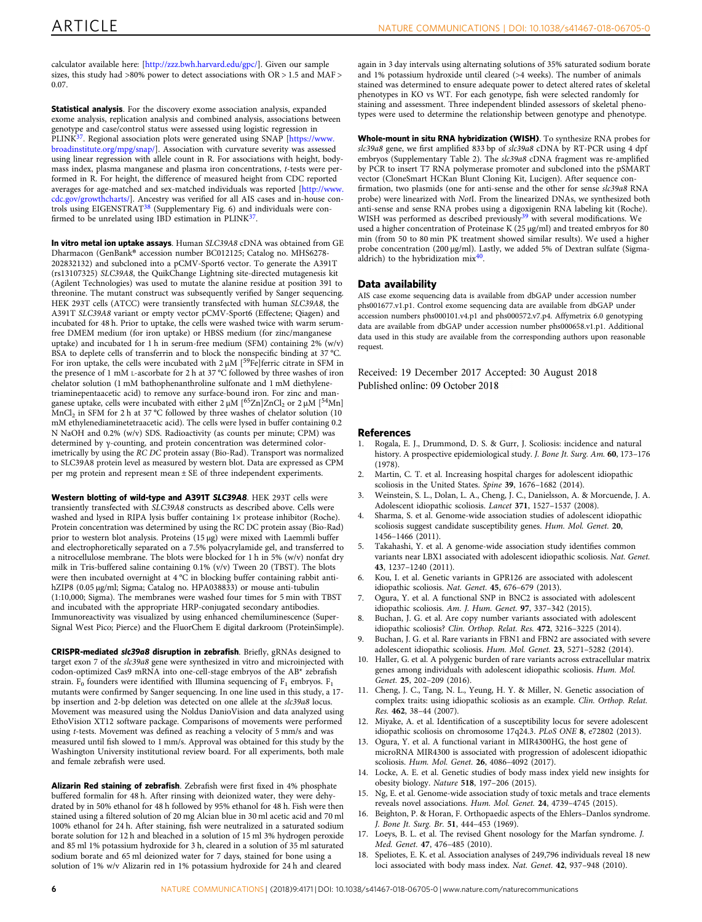<span id="page-5-0"></span>calculator available here: [\[http://zzz.bwh.harvard.edu/gpc/](http://zzz.bwh.harvard.edu/gpc/)]. Given our sample sizes, this study had >80% power to detect associations with OR > 1.5 and MAF > 0.07.

Statistical analysis. For the discovery exome association analysis, expanded exome analysis, replication analysis and combined analysis, associations between genotype and case/control status were assessed using logistic regression in PLINK<sup>[37](#page-6-0)</sup>. Regional association plots were generated using SNAP [\[https://www.](https://www.broadinstitute.org/mpg/snap/) [broadinstitute.org/mpg/snap/\]](https://www.broadinstitute.org/mpg/snap/). Association with curvature severity was assessed using linear regression with allele count in R. For associations with height, bodymass index, plasma manganese and plasma iron concentrations, t-tests were performed in R. For height, the difference of measured height from CDC reported averages for age-matched and sex-matched individuals was reported [[http://www.](http://www.cdc.gov/growthcharts/) [cdc.gov/growthcharts/](http://www.cdc.gov/growthcharts/)]. Ancestry was verified for all AIS cases and in-house controls using EIGENSTRAT[38](#page-6-0) (Supplementary Fig. 6) and individuals were con-firmed to be unrelated using IBD estimation in PLINK<sup>[37](#page-6-0)</sup>.

In vitro metal ion uptake assays. Human SLC39A8 cDNA was obtained from GE Dharmacon (GenBank® accession number BC012125; Catalog no. MHS6278- 202832132) and subcloned into a pCMV-Sport6 vector. To generate the A391T (rs13107325) SLC39A8, the QuikChange Lightning site-directed mutagenesis kit (Agilent Technologies) was used to mutate the alanine residue at position 391 to threonine. The mutant construct was subsequently verified by Sanger sequencing. HEK 293T cells (ATCC) were transiently transfected with human SLC39A8, the A391T SLC39A8 variant or empty vector pCMV-Sport6 (Effectene; Qiagen) and incubated for 48 h. Prior to uptake, the cells were washed twice with warm serumfree DMEM medium (for iron uptake) or HBSS medium (for zinc/manganese uptake) and incubated for 1 h in serum-free medium (SFM) containing 2% (w/v) BSA to deplete cells of transferrin and to block the nonspecific binding at 37 °C. For iron uptake, the cells were incubated with  $2 \mu M$  [<sup>59</sup>Fe]ferric citrate in SFM in the presence of 1 mM L-ascorbate for 2 h at 37 °C followed by three washes of iron chelator solution (1 mM bathophenanthroline sulfonate and 1 mM diethylenetriaminepentaacetic acid) to remove any surface-bound iron. For zinc and manganese uptake, cells were incubated with either  $2 \mu M$  [<sup>65</sup>Zn]ZnCl<sub>2</sub> or  $2 \mu M$  [<sup>54</sup>Mn] MnCl2 in SFM for 2 h at 37 °C followed by three washes of chelator solution (10 mM ethylenediaminetetraacetic acid). The cells were lysed in buffer containing 0.2 N NaOH and 0.2% (w/v) SDS. Radioactivity (as counts per minute; CPM) was determined by γ-counting, and protein concentration was determined colorimetrically by using the RC DC protein assay (Bio-Rad). Transport was normalized to SLC39A8 protein level as measured by western blot. Data are expressed as CPM per mg protein and represent mean ± SE of three independent experiments.

Western blotting of wild-type and A391T SLC39A8. HEK 293T cells were transiently transfected with SLC39A8 constructs as described above. Cells were washed and lysed in RIPA lysis buffer containing  $1 \times$  protease inhibitor (Roche). Protein concentration was determined by using the RC DC protein assay (Bio-Rad) prior to western blot analysis. Proteins (15 µg) were mixed with Laemmli buffer and electrophoretically separated on a 7.5% polyacrylamide gel, and transferred to a nitrocellulose membrane. The blots were blocked for 1 h in 5% (w/v) nonfat dry milk in Tris-buffered saline containing 0.1% (v/v) Tween 20 (TBST). The blots were then incubated overnight at 4 °C in blocking buffer containing rabbit antihZIP8 (0.05 µg/ml; Sigma; Catalog no. HPA038833) or mouse anti-tubulin (1:10,000; Sigma). The membranes were washed four times for 5 min with TBST and incubated with the appropriate HRP-conjugated secondary antibodies. Immunoreactivity was visualized by using enhanced chemiluminescence (Super-Signal West Pico; Pierce) and the FluorChem E digital darkroom (ProteinSimple).

CRISPR-mediated slc39a8 disruption in zebrafish. Briefly, gRNAs designed to target exon 7 of the slc39a8 gene were synthesized in vitro and microinjected with codon-optimized Cas9 mRNA into one-cell-stage embryos of the AB\* zebrafish strain.  $F_0$  founders were identified with Illumina sequencing of  $F_1$  embryos.  $F_1$ mutants were confirmed by Sanger sequencing. In one line used in this study, a 17 bp insertion and 2-bp deletion was detected on one allele at the slc39a8 locus. Movement was measured using the Noldus DanioVision and data analyzed using EthoVision XT12 software package. Comparisons of movements were performed using t-tests. Movement was defined as reaching a velocity of 5 mm/s and was measured until fish slowed to 1 mm/s. Approval was obtained for this study by the Washington University institutional review board. For all experiments, both male and female zebrafish were used.

Alizarin Red staining of zebrafish. Zebrafish were first fixed in 4% phosphate buffered formalin for 48 h. After rinsing with deionized water, they were dehydrated by in 50% ethanol for 48 h followed by 95% ethanol for 48 h. Fish were then stained using a filtered solution of 20 mg Alcian blue in 30 ml acetic acid and 70 ml 100% ethanol for 24 h. After staining, fish were neutralized in a saturated sodium borate solution for 12 h and bleached in a solution of 15 ml 3% hydrogen peroxide and 85 ml 1% potassium hydroxide for 3 h, cleared in a solution of 35 ml saturated sodium borate and 65 ml deionized water for 7 days, stained for bone using a solution of 1% w/v Alizarin red in 1% potassium hydroxide for 24 h and cleared

again in 3 day intervals using alternating solutions of 35% saturated sodium borate and 1% potassium hydroxide until cleared (>4 weeks). The number of animals stained was determined to ensure adequate power to detect altered rates of skeletal phenotypes in KO vs WT. For each genotype, fish were selected randomly for staining and assessment. Three independent blinded assessors of skeletal phenotypes were used to determine the relationship between genotype and phenotype.

Whole-mount in situ RNA hybridization (WISH). To synthesize RNA probes for slc39a8 gene, we first amplified 833 bp of slc39a8 cDNA by RT-PCR using 4 dpf embryos (Supplementary Table 2). The slc39a8 cDNA fragment was re-amplified by PCR to insert T7 RNA polymerase promoter and subcloned into the pSMART vector (CloneSmart HCKan Blunt Cloning Kit, Lucigen). After sequence confirmation, two plasmids (one for anti-sense and the other for sense slc39a8 RNA probe) were linearized with NotI. From the linearized DNAs, we synthesized both anti-sense and sense RNA probes using a digoxigenin RNA labeling kit (Roche). WISH was performed as described previously<sup>[39](#page-6-0)</sup> with several modifications. We used a higher concentration of Proteinase K (25 μg/ml) and treated embryos for 80 min (from 50 to 80 min PK treatment showed similar results). We used a higher probe concentration (200 μg/ml). Lastly, we added 5% of Dextran sulfate (Sigmaaldrich) to the hybridization mix[40.](#page-6-0)

### Data availability

AIS case exome sequencing data is available from dbGAP under accession number phs001677.v1.p1. Control exome sequencing data are available from dbGAP under accession numbers phs000101.v4.p1 and phs000572.v7.p4. Affymetrix 6.0 genotyping data are available from dbGAP under accession number phs000658.v1.p1. Additional data used in this study are available from the corresponding authors upon reasonable request.

Received: 19 December 2017 Accepted: 30 August 2018

#### **References**

- 1. Rogala, E. J., Drummond, D. S. & Gurr, J. Scoliosis: incidence and natural history. A prospective epidemiological study. J. Bone Jt. Surg. Am. 60, 173–176 (1978).
- 2. Martin, C. T. et al. Increasing hospital charges for adolescent idiopathic scoliosis in the United States. Spine 39, 1676–1682 (2014).
- 3. Weinstein, S. L., Dolan, L. A., Cheng, J. C., Danielsson, A. & Morcuende, J. A. Adolescent idiopathic scoliosis. Lancet 371, 1527–1537 (2008).
- 4. Sharma, S. et al. Genome-wide association studies of adolescent idiopathic scoliosis suggest candidate susceptibility genes. Hum. Mol. Genet. 20, 1456–1466 (2011).
- 5. Takahashi, Y. et al. A genome-wide association study identifies common variants near LBX1 associated with adolescent idiopathic scoliosis. Nat. Genet. 43, 1237–1240 (2011).
- Kou, I. et al. Genetic variants in GPR126 are associated with adolescent idiopathic scoliosis. Nat. Genet. 45, 676–679 (2013).
- 7. Ogura, Y. et al. A functional SNP in BNC2 is associated with adolescent idiopathic scoliosis. Am. J. Hum. Genet. 97, 337–342 (2015).
- 8. Buchan, J. G. et al. Are copy number variants associated with adolescent idiopathic scoliosis? Clin. Orthop. Relat. Res. 472, 3216–3225 (2014).
- 9. Buchan, J. G. et al. Rare variants in FBN1 and FBN2 are associated with severe adolescent idiopathic scoliosis. Hum. Mol. Genet. 23, 5271–5282 (2014).
- 10. Haller, G. et al. A polygenic burden of rare variants across extracellular matrix genes among individuals with adolescent idiopathic scoliosis. Hum. Mol. Genet. 25, 202–209 (2016).
- 11. Cheng, J. C., Tang, N. L., Yeung, H. Y. & Miller, N. Genetic association of complex traits: using idiopathic scoliosis as an example. Clin. Orthop. Relat. Res. 462, 38–44 (2007).
- 12. Miyake, A. et al. Identification of a susceptibility locus for severe adolescent idiopathic scoliosis on chromosome 17q24.3. PLoS ONE 8, e72802 (2013).
- 13. Ogura, Y. et al. A functional variant in MIR4300HG, the host gene of microRNA MIR4300 is associated with progression of adolescent idiopathic scoliosis. Hum. Mol. Genet. 26, 4086–4092 (2017).
- 14. Locke, A. E. et al. Genetic studies of body mass index yield new insights for obesity biology. Nature 518, 197–206 (2015).
- 15. Ng, E. et al. Genome-wide association study of toxic metals and trace elements reveals novel associations. Hum. Mol. Genet. 24, 4739–4745 (2015).
- 16. Beighton, P. & Horan, F. Orthopaedic aspects of the Ehlers–Danlos syndrome. J. Bone Jt. Surg. Br. 51, 444–453 (1969).
- 17. Loeys, B. L. et al. The revised Ghent nosology for the Marfan syndrome. J. Med. Genet. 47, 476–485 (2010).
- 18. Speliotes, E. K. et al. Association analyses of 249,796 individuals reveal 18 new loci associated with body mass index. Nat. Genet. 42, 937–948 (2010).